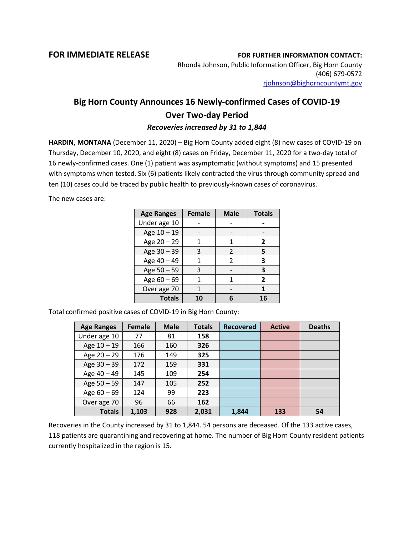## **FOR IMMEDIATE RELEASE FOR FURTHER INFORMATION CONTACT:**

Rhonda Johnson, Public Information Officer, Big Horn County (406) 679-0572 [rjohnson@bighorncountymt.gov](mailto:rjohnson@bighorncountymt.gov)

## **Big Horn County Announces 16 Newly-confirmed Cases of COVID-19 Over Two-day Period** *Recoveries increased by 31 to 1,844*

**HARDIN, MONTANA** (December 11, 2020) – Big Horn County added eight (8) new cases of COVID-19 on Thursday, December 10, 2020, and eight (8) cases on Friday, December 11, 2020 for a two-day total of 16 newly-confirmed cases. One (1) patient was asymptomatic (without symptoms) and 15 presented with symptoms when tested. Six (6) patients likely contracted the virus through community spread and ten (10) cases could be traced by public health to previously-known cases of coronavirus.

The new cases are:

| <b>Age Ranges</b> | <b>Female</b> | <b>Male</b>   | <b>Totals</b>  |
|-------------------|---------------|---------------|----------------|
| Under age 10      |               |               |                |
| Age 10 - 19       |               |               |                |
| Age 20 - 29       | 1             | 1             | $\overline{2}$ |
| Age 30 - 39       | 3             | 2             | 5              |
| Age 40 - 49       | 1             | $\mathcal{P}$ | 3              |
| Age 50 - 59       | 3             |               | 3              |
| Age $60 - 69$     |               | 1             | $\mathbf{2}$   |
| Over age 70       |               |               |                |
| <b>Totals</b>     | 10            |               | 16             |

Total confirmed positive cases of COVID-19 in Big Horn County:

| <b>Age Ranges</b> | Female | <b>Male</b> | <b>Totals</b> | <b>Recovered</b> | <b>Active</b> | <b>Deaths</b> |
|-------------------|--------|-------------|---------------|------------------|---------------|---------------|
| Under age 10      | 77     | 81          | 158           |                  |               |               |
| Age $10 - 19$     | 166    | 160         | 326           |                  |               |               |
| Age $20 - 29$     | 176    | 149         | 325           |                  |               |               |
| Age 30 - 39       | 172    | 159         | 331           |                  |               |               |
| Age 40 - 49       | 145    | 109         | 254           |                  |               |               |
| Age 50 - 59       | 147    | 105         | 252           |                  |               |               |
| Age $60 - 69$     | 124    | 99          | 223           |                  |               |               |
| Over age 70       | 96     | 66          | 162           |                  |               |               |
| <b>Totals</b>     | 1,103  | 928         | 2,031         | 1,844            | 133           | 54            |

Recoveries in the County increased by 31 to 1,844. 54 persons are deceased. Of the 133 active cases, 118 patients are quarantining and recovering at home. The number of Big Horn County resident patients currently hospitalized in the region is 15.